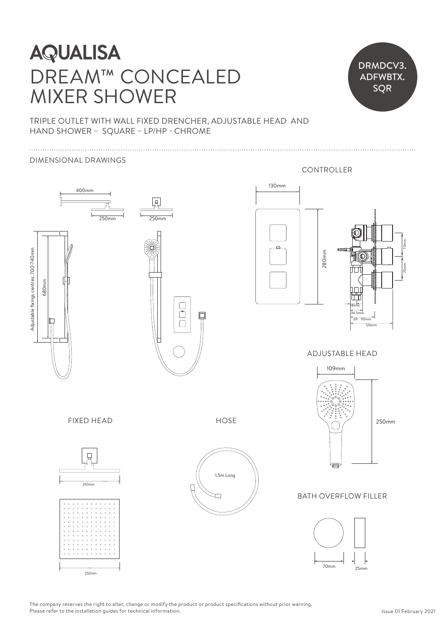# Adjustable fixings centres: 700-740mm **AQUALISA** DREAM™ CONCEALED Adjustable fixings centres: 520-830mm MIXER SHOWER



### TRIPLE OUTLET WITH WALL FIXED DRENCHER, ADJUSTABLE HEAD AND TRIPLE OUTLET WITH WALL FIXED DRENCHER,<br>HAND SHOWER - SQUARE - LP/HP - CHROME

### DIMENSIONAL DRAWINGS



The company reserves the right to alter, change or modify the product or product specifications without prior warning. Please refer to the installation guides for technical information.